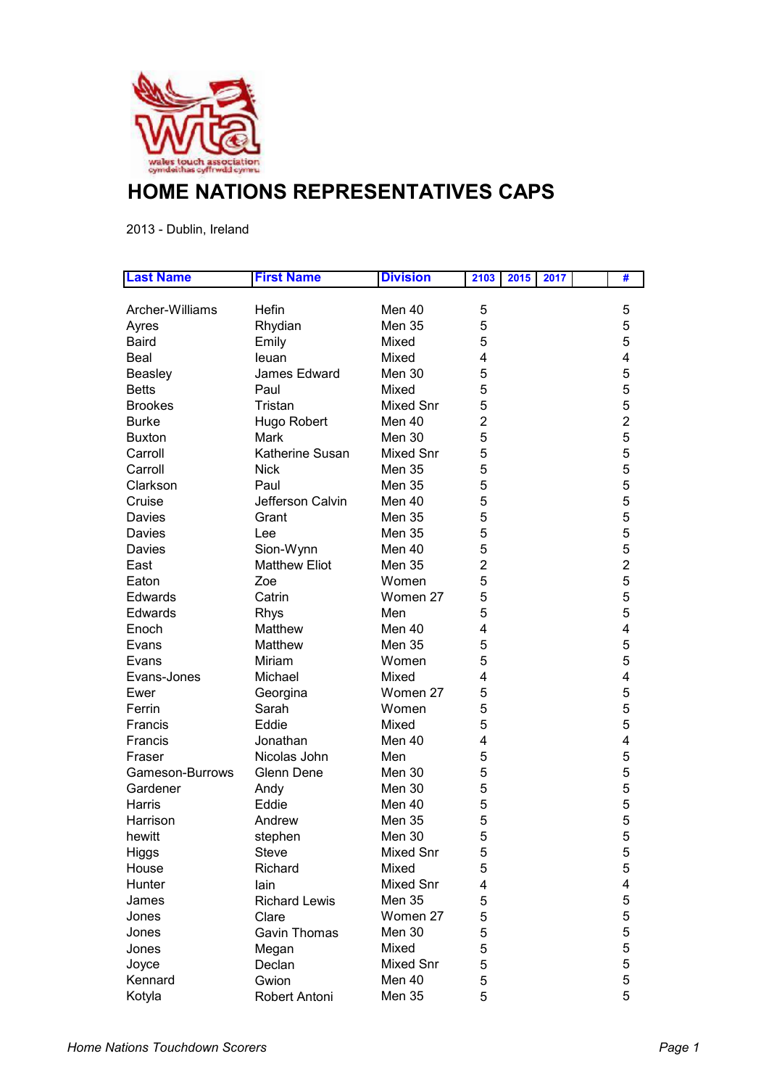

## **HOME NATIONS REPRESENTATIVES CAPS**

2013 - Dublin, Ireland

| <b>Last Name</b> | <b>First Name</b>    | <b>Division</b>  | 2103<br>2015<br>2017 | #              |
|------------------|----------------------|------------------|----------------------|----------------|
|                  |                      |                  |                      |                |
| Archer-Williams  | Hefin                | Men 40           | 5                    | 5              |
| Ayres            | Rhydian              | <b>Men 35</b>    | 5                    | 5              |
| <b>Baird</b>     | Emily                | Mixed            | 5                    | 5              |
| Beal             | leuan                | Mixed            | 4                    | 4              |
| <b>Beasley</b>   | James Edward         | Men 30           | 5                    | 5              |
| <b>Betts</b>     | Paul                 | Mixed            | 5                    | 5              |
| <b>Brookes</b>   | Tristan              | <b>Mixed Snr</b> | 5                    | 5              |
| <b>Burke</b>     | Hugo Robert          | Men 40           | $\overline{2}$       | $\overline{2}$ |
| <b>Buxton</b>    | Mark                 | Men 30           | 5                    | 5              |
| Carroll          | Katherine Susan      | <b>Mixed Snr</b> | 5                    | 5              |
| Carroll          | <b>Nick</b>          | <b>Men 35</b>    | 5                    | 5              |
| Clarkson         | Paul                 | <b>Men 35</b>    | 5                    | 5              |
| Cruise           | Jefferson Calvin     | Men 40           | 5                    | 5              |
| Davies           | Grant                | <b>Men 35</b>    | 5                    | 5              |
| Davies           | Lee                  | Men 35           | 5                    | 5              |
| Davies           | Sion-Wynn            | Men 40           | 5                    | 5              |
| East             | <b>Matthew Eliot</b> | <b>Men 35</b>    | 2                    | $\overline{2}$ |
| Eaton            | Zoe                  | Women            | 5                    | 5              |
| Edwards          | Catrin               | Women 27         | 5                    | 5              |
| Edwards          | <b>Rhys</b>          | Men              | 5                    | 5              |
| Enoch            | Matthew              | Men 40           | 4                    | 4              |
| Evans            | Matthew              | <b>Men 35</b>    | 5                    | 5              |
| Evans            | Miriam               | Women            | 5                    | 5              |
| Evans-Jones      | Michael              | Mixed            | 4                    | 4              |
| Ewer             | Georgina             | Women 27         | 5                    | 5              |
| Ferrin           | Sarah                | Women            | 5                    | 5              |
| Francis          | Eddie                | Mixed            | 5                    | 5              |
| Francis          | Jonathan             | Men 40           | 4                    | 4              |
| Fraser           | Nicolas John         | Men              | 5                    | 5              |
| Gameson-Burrows  | Glenn Dene           | Men 30           | 5                    | 5              |
| Gardener         | Andy                 | Men 30           | 5                    | 5              |
| Harris           | Eddie                | Men 40           | 5                    | 5              |
| Harrison         | Andrew               | Men 35           | 5                    | 5              |
| hewitt           | stephen              | Men 30           | 5                    | 5              |
| <b>Higgs</b>     | <b>Steve</b>         | Mixed Snr        | 5                    | 5              |
| House            | Richard              | Mixed            | 5                    | 5              |
| Hunter           | lain                 | <b>Mixed Snr</b> | 4                    | 4              |
| James            | <b>Richard Lewis</b> | <b>Men 35</b>    | 5                    | 5              |
| Jones            | Clare                | Women 27         | 5                    | 5              |
| Jones            | Gavin Thomas         | Men 30           | 5                    | 5              |
|                  |                      | Mixed            | 5                    | 5              |
| Jones            | Megan                | Mixed Snr        | 5                    | 5              |
| Joyce            | Declan               |                  |                      |                |
| Kennard          | Gwion                | Men 40           | 5                    | 5              |
| Kotyla           | Robert Antoni        | <b>Men 35</b>    | 5                    | 5              |